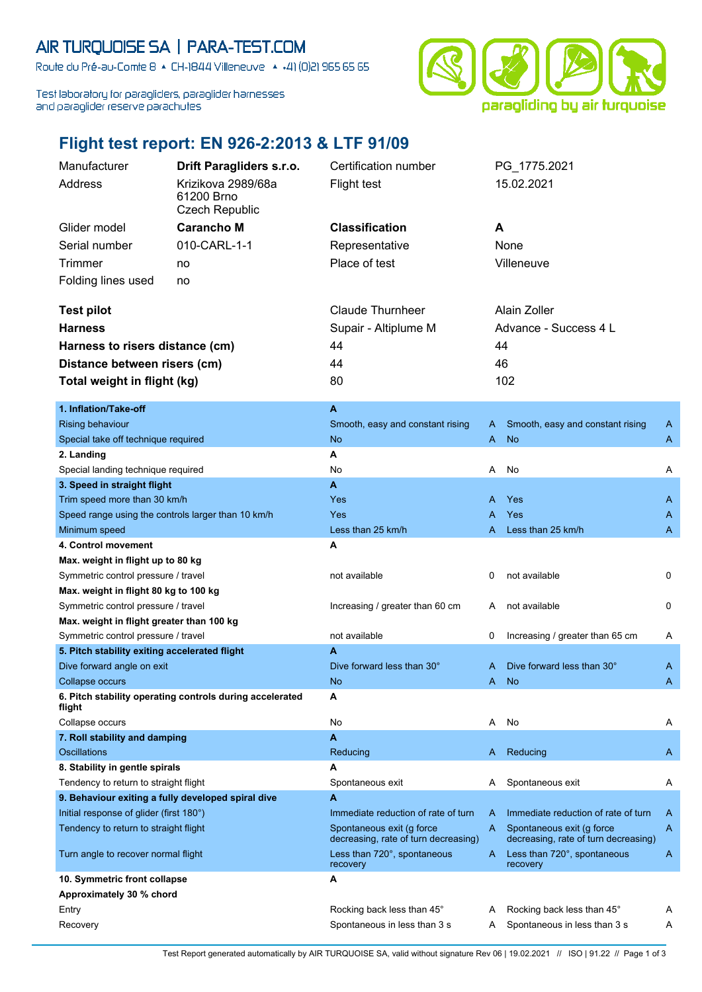## AIR TURQUOISE SA | PARA-TEST.COM

Route du Pré-au-Comte 8 & CH-1844 Villeneuve | 4 +41 (0)21 965 65 65

Test laboratory for paragliders, paraglider harnesses and paraglider reserve parachutes



## **Flight test report: EN 926-2:2013 & LTF 91/09**

Manufacturer **Drift Paragliders s.r.o.** Certification number PG\_1775.2021

| Address                                                                          | Krizikova 2989/68a<br>61200 Brno<br><b>Czech Republic</b> | <b>Flight test</b>                                                |   | 15.02.2021                                                        |   |
|----------------------------------------------------------------------------------|-----------------------------------------------------------|-------------------------------------------------------------------|---|-------------------------------------------------------------------|---|
| Glider model                                                                     | <b>Carancho M</b>                                         | <b>Classification</b>                                             |   | A                                                                 |   |
| Serial number                                                                    | 010-CARL-1-1                                              | Representative                                                    |   | None                                                              |   |
| <b>Trimmer</b>                                                                   | no                                                        | Place of test                                                     |   | Villeneuve                                                        |   |
| Folding lines used                                                               | no                                                        |                                                                   |   |                                                                   |   |
|                                                                                  |                                                           |                                                                   |   |                                                                   |   |
| <b>Test pilot</b>                                                                |                                                           | <b>Claude Thurnheer</b>                                           |   | Alain Zoller                                                      |   |
| <b>Harness</b>                                                                   |                                                           | Supair - Altiplume M                                              |   | Advance - Success 4 L                                             |   |
| Harness to risers distance (cm)                                                  |                                                           | 44                                                                |   | 44                                                                |   |
| Distance between risers (cm)                                                     |                                                           | 44                                                                |   | 46                                                                |   |
| Total weight in flight (kg)                                                      |                                                           | 80                                                                |   | 102                                                               |   |
|                                                                                  |                                                           |                                                                   |   |                                                                   |   |
| 1. Inflation/Take-off                                                            |                                                           | A                                                                 |   |                                                                   |   |
| <b>Rising behaviour</b>                                                          |                                                           | Smooth, easy and constant rising                                  | A | Smooth, easy and constant rising                                  | A |
| Special take off technique required                                              |                                                           | No                                                                | A | <b>No</b>                                                         | A |
| 2. Landing                                                                       |                                                           | A                                                                 |   |                                                                   |   |
| Special landing technique required                                               |                                                           | No                                                                | A | No                                                                | A |
| 3. Speed in straight flight                                                      |                                                           | A                                                                 |   |                                                                   |   |
| Trim speed more than 30 km/h                                                     |                                                           | Yes                                                               | Α | Yes                                                               | A |
|                                                                                  | Speed range using the controls larger than 10 km/h        | Yes                                                               | Α | Yes                                                               | A |
| Minimum speed                                                                    |                                                           | Less than 25 km/h                                                 | A | Less than 25 km/h                                                 | A |
| 4. Control movement                                                              |                                                           | А                                                                 |   |                                                                   |   |
| Max. weight in flight up to 80 kg                                                |                                                           |                                                                   |   |                                                                   |   |
| Symmetric control pressure / travel                                              |                                                           | not available                                                     | 0 | not available                                                     | 0 |
| Max. weight in flight 80 kg to 100 kg                                            |                                                           |                                                                   |   | not available                                                     | 0 |
| Symmetric control pressure / travel                                              |                                                           | Increasing / greater than 60 cm                                   | A |                                                                   |   |
| Max. weight in flight greater than 100 kg<br>Symmetric control pressure / travel |                                                           | not available                                                     | 0 | Increasing / greater than 65 cm                                   | A |
|                                                                                  |                                                           | A                                                                 |   |                                                                   |   |
| 5. Pitch stability exiting accelerated flight<br>Dive forward angle on exit      |                                                           | Dive forward less than 30°                                        | A | Dive forward less than 30°                                        | A |
| Collapse occurs                                                                  |                                                           | No                                                                | A | <b>No</b>                                                         | A |
| 6. Pitch stability operating controls during accelerated<br>flight               |                                                           | A                                                                 |   |                                                                   |   |
| Collapse occurs                                                                  |                                                           | No                                                                | A | No                                                                | A |
| 7. Roll stability and damping                                                    |                                                           | A                                                                 |   |                                                                   |   |
| <b>Oscillations</b>                                                              |                                                           | Reducing                                                          | A | Reducing                                                          | A |
| 8. Stability in gentle spirals                                                   |                                                           | Α                                                                 |   |                                                                   |   |
| Tendency to return to straight flight                                            |                                                           | Spontaneous exit                                                  | A | Spontaneous exit                                                  | A |
| 9. Behaviour exiting a fully developed spiral dive                               |                                                           | А                                                                 |   |                                                                   |   |
| Initial response of glider (first 180°)                                          |                                                           | Immediate reduction of rate of turn                               | A | Immediate reduction of rate of turn                               | A |
| Tendency to return to straight flight                                            |                                                           | Spontaneous exit (g force<br>decreasing, rate of turn decreasing) | A | Spontaneous exit (g force<br>decreasing, rate of turn decreasing) | A |
| Turn angle to recover normal flight                                              |                                                           | Less than 720°, spontaneous<br>recovery                           | A | Less than 720°, spontaneous<br>recovery                           | A |
| 10. Symmetric front collapse                                                     |                                                           | А                                                                 |   |                                                                   |   |
| Approximately 30 % chord                                                         |                                                           |                                                                   |   |                                                                   |   |
| Entry                                                                            |                                                           | Rocking back less than 45°                                        | A | Rocking back less than 45°                                        | A |
| Recovery                                                                         |                                                           | Spontaneous in less than 3 s                                      | A | Spontaneous in less than 3 s                                      | A |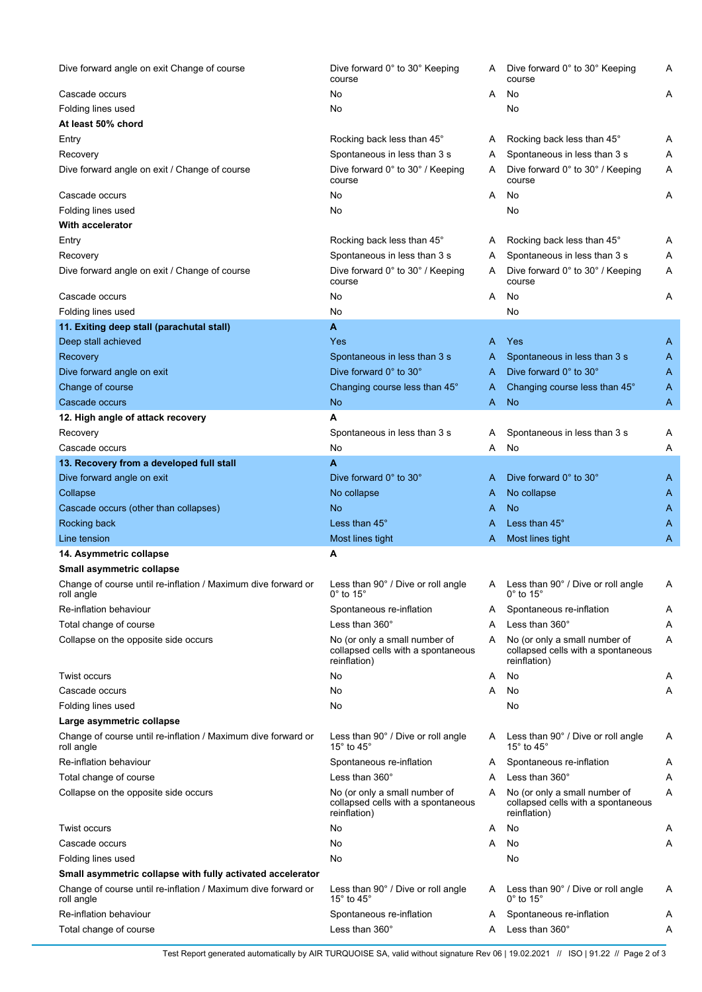| Dive forward angle on exit Change of course                                 | Dive forward 0° to 30° Keeping<br>course                                            | A | Dive forward 0° to 30° Keeping<br>course                                            | Α |
|-----------------------------------------------------------------------------|-------------------------------------------------------------------------------------|---|-------------------------------------------------------------------------------------|---|
| Cascade occurs                                                              | No                                                                                  | A | No                                                                                  | Α |
| Folding lines used                                                          | No                                                                                  |   | No                                                                                  |   |
| At least 50% chord                                                          |                                                                                     |   |                                                                                     |   |
| Entry                                                                       | Rocking back less than 45°                                                          | Α | Rocking back less than 45°                                                          | Α |
| Recovery                                                                    | Spontaneous in less than 3 s                                                        | A | Spontaneous in less than 3 s                                                        | Α |
| Dive forward angle on exit / Change of course                               | Dive forward 0° to 30° / Keeping<br>course                                          | A | Dive forward 0° to 30° / Keeping<br>course                                          | Α |
| Cascade occurs                                                              | No                                                                                  | A | No                                                                                  | Α |
| Folding lines used                                                          | No                                                                                  |   | No                                                                                  |   |
| With accelerator                                                            |                                                                                     |   |                                                                                     |   |
| Entry                                                                       | Rocking back less than 45°                                                          | A | Rocking back less than 45°                                                          | A |
| Recovery                                                                    | Spontaneous in less than 3 s                                                        | A | Spontaneous in less than 3 s                                                        | Α |
| Dive forward angle on exit / Change of course                               | Dive forward 0° to 30° / Keeping<br>course                                          | A | Dive forward 0° to 30° / Keeping<br>course                                          | Α |
| Cascade occurs                                                              | No                                                                                  | A | No                                                                                  | Α |
| Folding lines used                                                          | No                                                                                  |   | No                                                                                  |   |
| 11. Exiting deep stall (parachutal stall)                                   | A                                                                                   |   |                                                                                     |   |
| Deep stall achieved                                                         | Yes                                                                                 | A | Yes                                                                                 | A |
| Recovery                                                                    | Spontaneous in less than 3 s                                                        | A | Spontaneous in less than 3 s                                                        | A |
| Dive forward angle on exit                                                  | Dive forward 0° to 30°                                                              | A | Dive forward 0° to 30°                                                              | A |
| Change of course                                                            | Changing course less than 45°                                                       | A | Changing course less than 45°                                                       | A |
| Cascade occurs                                                              | No                                                                                  | A | <b>No</b>                                                                           | A |
| 12. High angle of attack recovery                                           | А                                                                                   |   |                                                                                     |   |
| Recovery                                                                    | Spontaneous in less than 3 s                                                        | Α | Spontaneous in less than 3 s                                                        | A |
| Cascade occurs                                                              | No                                                                                  | A | No                                                                                  | Α |
| 13. Recovery from a developed full stall                                    | A                                                                                   |   |                                                                                     |   |
| Dive forward angle on exit                                                  | Dive forward 0° to 30°                                                              | A | Dive forward 0° to 30°                                                              | A |
| Collapse                                                                    | No collapse                                                                         | A | No collapse                                                                         | A |
| Cascade occurs (other than collapses)                                       | No                                                                                  | A | <b>No</b>                                                                           | A |
| Rocking back                                                                | Less than 45°                                                                       | A | Less than 45°                                                                       | A |
| Line tension                                                                | Most lines tight<br>Α                                                               | A | Most lines tight                                                                    | A |
| 14. Asymmetric collapse<br>Small asymmetric collapse                        |                                                                                     |   |                                                                                     |   |
| Change of course until re-inflation / Maximum dive forward or<br>roll angle | Less than 90° / Dive or roll angle<br>$0^\circ$ to 15 $^\circ$                      |   | A Less than 90° / Dive or roll angle<br>$0^\circ$ to 15 $^\circ$                    | Α |
| Re-inflation behaviour                                                      | Spontaneous re-inflation                                                            | Α | Spontaneous re-inflation                                                            | A |
| Total change of course                                                      | Less than $360^\circ$                                                               | A | Less than $360^\circ$                                                               | Α |
| Collapse on the opposite side occurs                                        | No (or only a small number of                                                       | A | No (or only a small number of                                                       | Α |
|                                                                             | collapsed cells with a spontaneous<br>reinflation)                                  |   | collapsed cells with a spontaneous<br>reinflation)                                  |   |
| Twist occurs                                                                | No                                                                                  | A | No                                                                                  | A |
| Cascade occurs                                                              | No                                                                                  | A | No                                                                                  | Α |
| Folding lines used                                                          | No                                                                                  |   | No                                                                                  |   |
| Large asymmetric collapse                                                   |                                                                                     |   |                                                                                     |   |
| Change of course until re-inflation / Maximum dive forward or<br>roll angle | Less than 90° / Dive or roll angle<br>15 $^{\circ}$ to 45 $^{\circ}$                | A | Less than 90° / Dive or roll angle<br>15 $^{\circ}$ to 45 $^{\circ}$                | A |
| Re-inflation behaviour                                                      | Spontaneous re-inflation                                                            | Α | Spontaneous re-inflation                                                            | Α |
| Total change of course                                                      | Less than $360^\circ$                                                               | A | Less than 360°                                                                      | Α |
| Collapse on the opposite side occurs                                        | No (or only a small number of<br>collapsed cells with a spontaneous<br>reinflation) | A | No (or only a small number of<br>collapsed cells with a spontaneous<br>reinflation) | Α |
| <b>Twist occurs</b>                                                         | No                                                                                  | A | No                                                                                  | A |
| Cascade occurs                                                              | No                                                                                  | A | No                                                                                  | Α |
| Folding lines used                                                          | No                                                                                  |   | No                                                                                  |   |
| Small asymmetric collapse with fully activated accelerator                  |                                                                                     |   |                                                                                     |   |
| Change of course until re-inflation / Maximum dive forward or<br>roll angle | Less than 90° / Dive or roll angle<br>15 $\degree$ to 45 $\degree$                  | A | Less than 90° / Dive or roll angle<br>$0^\circ$ to 15 $^\circ$                      | A |
| Re-inflation behaviour                                                      |                                                                                     |   |                                                                                     |   |
|                                                                             | Spontaneous re-inflation                                                            | A | Spontaneous re-inflation                                                            | A |